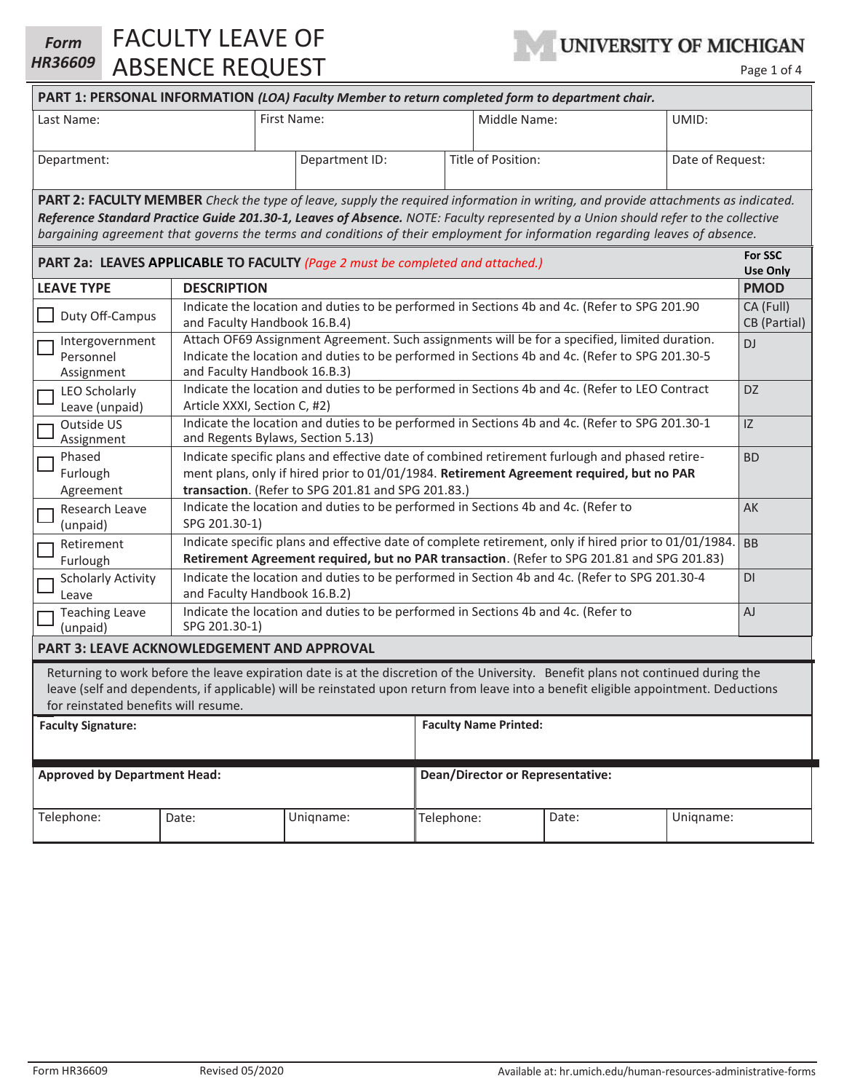| <b>Form</b><br><b>HR36609</b>                                                                                                                                                                                                                                                                                                                                                                                 |                                                    | <b>FACULTY LEAVE OF</b><br><b>ABSENCE REQUEST</b>                                            |                                                                                |  | UNIVERSITY OF MICHIGAN<br>Page 1 of 4 |       |                            |  |
|---------------------------------------------------------------------------------------------------------------------------------------------------------------------------------------------------------------------------------------------------------------------------------------------------------------------------------------------------------------------------------------------------------------|----------------------------------------------------|----------------------------------------------------------------------------------------------|--------------------------------------------------------------------------------|--|---------------------------------------|-------|----------------------------|--|
| PART 1: PERSONAL INFORMATION (LOA) Faculty Member to return completed form to department chair.                                                                                                                                                                                                                                                                                                               |                                                    |                                                                                              |                                                                                |  |                                       |       |                            |  |
| Last Name:                                                                                                                                                                                                                                                                                                                                                                                                    |                                                    |                                                                                              | First Name:                                                                    |  | Middle Name:                          | UMID: |                            |  |
|                                                                                                                                                                                                                                                                                                                                                                                                               |                                                    |                                                                                              |                                                                                |  |                                       |       |                            |  |
| Department:                                                                                                                                                                                                                                                                                                                                                                                                   |                                                    |                                                                                              | Department ID:                                                                 |  | Title of Position:                    |       | Date of Request:           |  |
| <b>PART 2: FACULTY MEMBER</b> Check the type of leave, supply the required information in writing, and provide attachments as indicated.<br>Reference Standard Practice Guide 201.30-1, Leaves of Absence. NOTE: Faculty represented by a Union should refer to the collective<br>bargaining agreement that governs the terms and conditions of their employment for information regarding leaves of absence. |                                                    |                                                                                              |                                                                                |  |                                       |       |                            |  |
|                                                                                                                                                                                                                                                                                                                                                                                                               |                                                    |                                                                                              | PART 2a: LEAVES APPLICABLE TO FACULTY (Page 2 must be completed and attached.) |  |                                       |       | For SSC<br><b>Use Only</b> |  |
| <b>LEAVE TYPE</b>                                                                                                                                                                                                                                                                                                                                                                                             |                                                    | <b>DESCRIPTION</b><br><b>PMOD</b>                                                            |                                                                                |  |                                       |       |                            |  |
|                                                                                                                                                                                                                                                                                                                                                                                                               | $D_{\text{min}}$ $D_{\text{min}}$ $D_{\text{min}}$ | Indicate the location and duties to be performed in Sections 4b and 4c. (Refer to SPG 201.90 |                                                                                |  |                                       |       | CA (Full)                  |  |

| <b>FANT Zd. LEAVES AFFLICABLE TO FACULT T</b> Puge 2 must be completed and attached.)                                                                                                                                                                                                                             |                                                                                                                                                                                                                                                              |           |  |                                         |       |                           | <b>Use Only</b> |
|-------------------------------------------------------------------------------------------------------------------------------------------------------------------------------------------------------------------------------------------------------------------------------------------------------------------|--------------------------------------------------------------------------------------------------------------------------------------------------------------------------------------------------------------------------------------------------------------|-----------|--|-----------------------------------------|-------|---------------------------|-----------------|
| <b>LEAVE TYPE</b>                                                                                                                                                                                                                                                                                                 | <b>DESCRIPTION</b>                                                                                                                                                                                                                                           |           |  |                                         |       |                           | <b>PMOD</b>     |
| Duty Off-Campus                                                                                                                                                                                                                                                                                                   | Indicate the location and duties to be performed in Sections 4b and 4c. (Refer to SPG 201.90<br>and Faculty Handbook 16.B.4)                                                                                                                                 |           |  |                                         |       | CA (Full)<br>CB (Partial) |                 |
| Intergovernment<br>Г<br>Personnel<br>Assignment                                                                                                                                                                                                                                                                   | Attach OF69 Assignment Agreement. Such assignments will be for a specified, limited duration.<br>Indicate the location and duties to be performed in Sections 4b and 4c. (Refer to SPG 201.30-5<br>and Faculty Handbook 16.B.3)                              |           |  |                                         |       | DJ                        |                 |
| <b>LEO Scholarly</b><br>Leave (unpaid)                                                                                                                                                                                                                                                                            | Indicate the location and duties to be performed in Sections 4b and 4c. (Refer to LEO Contract<br>Article XXXI, Section C, #2)                                                                                                                               |           |  |                                         |       | DZ                        |                 |
| Outside US<br>Assignment                                                                                                                                                                                                                                                                                          | Indicate the location and duties to be performed in Sections 4b and 4c. (Refer to SPG 201.30-1<br>IZ<br>and Regents Bylaws, Section 5.13)                                                                                                                    |           |  |                                         |       |                           |                 |
| Phased<br>Furlough<br>Agreement                                                                                                                                                                                                                                                                                   | Indicate specific plans and effective date of combined retirement furlough and phased retire-<br><b>BD</b><br>ment plans, only if hired prior to 01/01/1984. Retirement Agreement required, but no PAR<br>transaction. (Refer to SPG 201.81 and SPG 201.83.) |           |  |                                         |       |                           |                 |
| Research Leave<br>(unpaid)                                                                                                                                                                                                                                                                                        | Indicate the location and duties to be performed in Sections 4b and 4c. (Refer to<br>AK<br>SPG 201.30-1)                                                                                                                                                     |           |  |                                         |       |                           |                 |
| Retirement<br>Furlough                                                                                                                                                                                                                                                                                            | Indicate specific plans and effective date of complete retirement, only if hired prior to 01/01/1984.<br><b>BB</b><br>Retirement Agreement required, but no PAR transaction. (Refer to SPG 201.81 and SPG 201.83)                                            |           |  |                                         |       |                           |                 |
| <b>Scholarly Activity</b><br>Leave                                                                                                                                                                                                                                                                                | Indicate the location and duties to be performed in Section 4b and 4c. (Refer to SPG 201.30-4<br>DI<br>and Faculty Handbook 16.B.2)                                                                                                                          |           |  |                                         |       |                           |                 |
| <b>Teaching Leave</b><br>(unpaid)                                                                                                                                                                                                                                                                                 | Indicate the location and duties to be performed in Sections 4b and 4c. (Refer to<br>SPG 201.30-1)                                                                                                                                                           |           |  |                                         |       | AJ                        |                 |
| <b>PART 3: LEAVE ACKNOWLEDGEMENT AND APPROVAL</b>                                                                                                                                                                                                                                                                 |                                                                                                                                                                                                                                                              |           |  |                                         |       |                           |                 |
| Returning to work before the leave expiration date is at the discretion of the University. Benefit plans not continued during the<br>leave (self and dependents, if applicable) will be reinstated upon return from leave into a benefit eligible appointment. Deductions<br>for reinstated benefits will resume. |                                                                                                                                                                                                                                                              |           |  |                                         |       |                           |                 |
| <b>Faculty Signature:</b>                                                                                                                                                                                                                                                                                         |                                                                                                                                                                                                                                                              |           |  | <b>Faculty Name Printed:</b>            |       |                           |                 |
| <b>Approved by Department Head:</b>                                                                                                                                                                                                                                                                               |                                                                                                                                                                                                                                                              |           |  | <b>Dean/Director or Representative:</b> |       |                           |                 |
| Telephone:                                                                                                                                                                                                                                                                                                        | Date:                                                                                                                                                                                                                                                        | Unigname: |  | Telephone:                              | Date: | Unigname:                 |                 |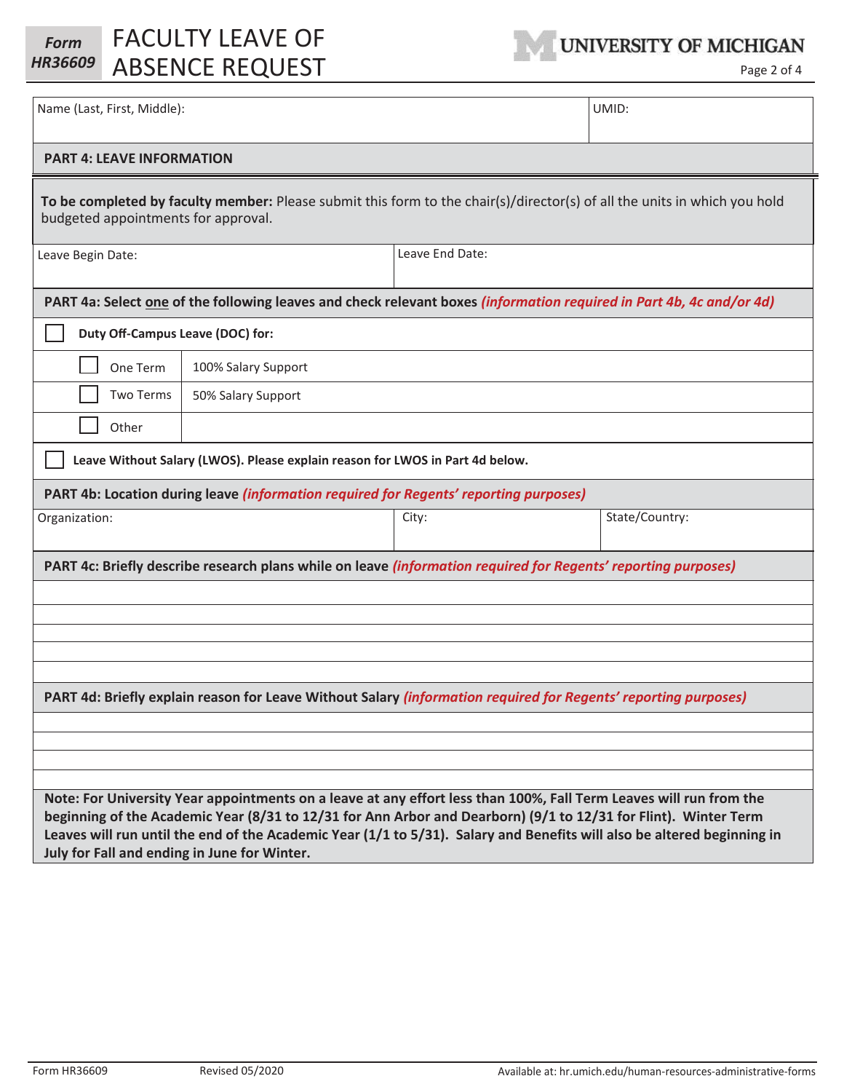| <b>Form</b> | FACULTY LEAVE OF        | UNIVERSITY OF MICHIGAN |
|-------------|-------------------------|------------------------|
|             | HR36609 ABSENCE REQUEST | Page 2 of 4            |



| Name (Last, First, Middle):                                                                                                                                                                                                                                                                                                                                                                                      |                 | UMID:          |  |  |  |  |
|------------------------------------------------------------------------------------------------------------------------------------------------------------------------------------------------------------------------------------------------------------------------------------------------------------------------------------------------------------------------------------------------------------------|-----------------|----------------|--|--|--|--|
| <b>PART 4: LEAVE INFORMATION</b>                                                                                                                                                                                                                                                                                                                                                                                 |                 |                |  |  |  |  |
| To be completed by faculty member: Please submit this form to the chair(s)/director(s) of all the units in which you hold<br>budgeted appointments for approval.                                                                                                                                                                                                                                                 |                 |                |  |  |  |  |
| Leave Begin Date:                                                                                                                                                                                                                                                                                                                                                                                                | Leave End Date: |                |  |  |  |  |
| PART 4a: Select one of the following leaves and check relevant boxes (information required in Part 4b, 4c and/or 4d)                                                                                                                                                                                                                                                                                             |                 |                |  |  |  |  |
| Duty Off-Campus Leave (DOC) for:                                                                                                                                                                                                                                                                                                                                                                                 |                 |                |  |  |  |  |
| One Term<br>100% Salary Support                                                                                                                                                                                                                                                                                                                                                                                  |                 |                |  |  |  |  |
| <b>Two Terms</b><br>50% Salary Support                                                                                                                                                                                                                                                                                                                                                                           |                 |                |  |  |  |  |
| Other                                                                                                                                                                                                                                                                                                                                                                                                            |                 |                |  |  |  |  |
| Leave Without Salary (LWOS). Please explain reason for LWOS in Part 4d below.                                                                                                                                                                                                                                                                                                                                    |                 |                |  |  |  |  |
| PART 4b: Location during leave (information required for Regents' reporting purposes)                                                                                                                                                                                                                                                                                                                            |                 |                |  |  |  |  |
| Organization:                                                                                                                                                                                                                                                                                                                                                                                                    | City:           | State/Country: |  |  |  |  |
| PART 4c: Briefly describe research plans while on leave (information required for Regents' reporting purposes)                                                                                                                                                                                                                                                                                                   |                 |                |  |  |  |  |
|                                                                                                                                                                                                                                                                                                                                                                                                                  |                 |                |  |  |  |  |
|                                                                                                                                                                                                                                                                                                                                                                                                                  |                 |                |  |  |  |  |
|                                                                                                                                                                                                                                                                                                                                                                                                                  |                 |                |  |  |  |  |
| PART 4d: Briefly explain reason for Leave Without Salary (information required for Regents' reporting purposes)                                                                                                                                                                                                                                                                                                  |                 |                |  |  |  |  |
|                                                                                                                                                                                                                                                                                                                                                                                                                  |                 |                |  |  |  |  |
|                                                                                                                                                                                                                                                                                                                                                                                                                  |                 |                |  |  |  |  |
|                                                                                                                                                                                                                                                                                                                                                                                                                  |                 |                |  |  |  |  |
| Note: For University Year appointments on a leave at any effort less than 100%, Fall Term Leaves will run from the<br>beginning of the Academic Year (8/31 to 12/31 for Ann Arbor and Dearborn) (9/1 to 12/31 for Flint). Winter Term<br>Leaves will run until the end of the Academic Year (1/1 to 5/31). Salary and Benefits will also be altered beginning in<br>July for Fall and ending in June for Winter. |                 |                |  |  |  |  |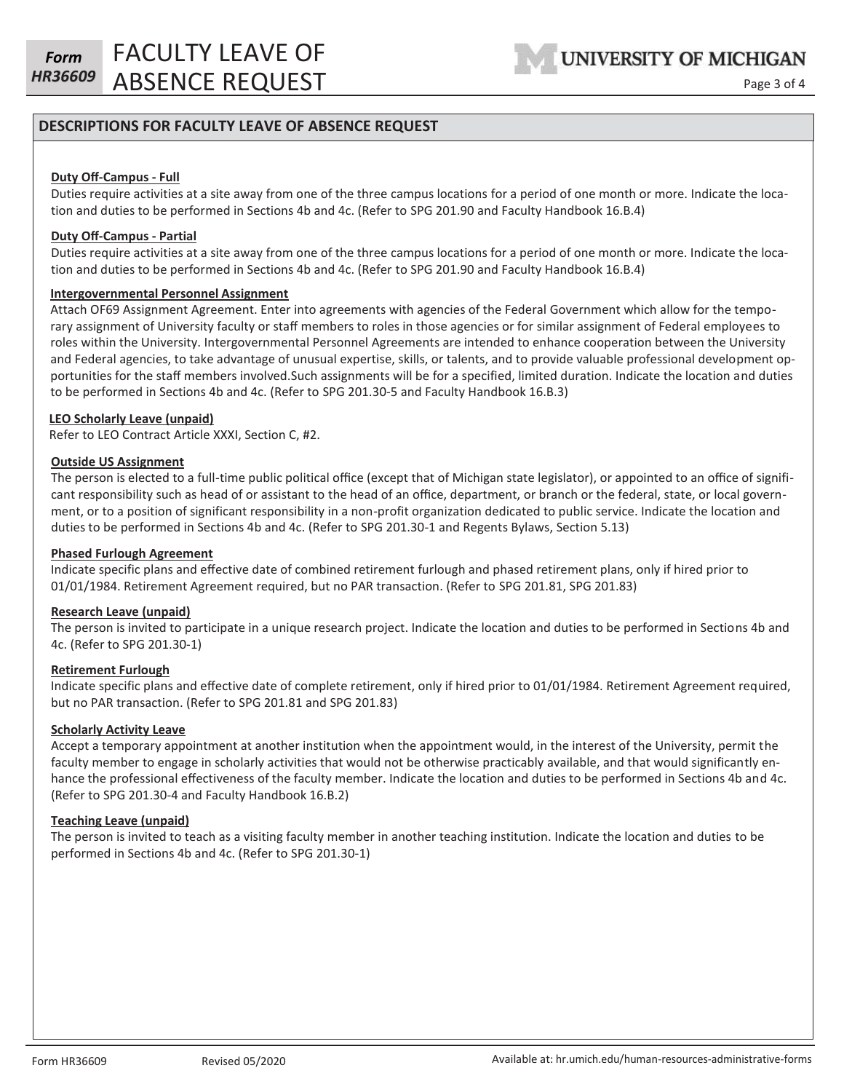FACULTY LEAVE OF **HR36609** ABSENCE REQUEST Page 3 of 4

# **DESCRIPTIONS FOR FACULTY LEAVE OF ABSENCE REQUEST**

### **Duty Off-Campus - Full**

Duties require activities at a site away from one of the three campus locations for a period of one month or more. Indicate the location and duties to be performed in Sections 4b and 4c. (Refer to SPG 201.90 and Faculty Handbook 16.B.4)

# **Duty Off-Campus - Partial**

Duties require activities at a site away from one of the three campus locations for a period of one month or more. Indicate the location and duties to be performed in Sections 4b and 4c. (Refer to SPG 201.90 and Faculty Handbook 16.B.4)

#### **Intergovernmental Personnel Assignment**

Attach OF69 Assignment Agreement. Enter into agreements with agencies of the Federal Government which allow for the temporary assignment of University faculty or staff members to roles in those agencies or for similar assignment of Federal employees to roles within the University. Intergovernmental Personnel Agreements are intended to enhance cooperation between the University and Federal agencies, to take advantage of unusual expertise, skills, or talents, and to provide valuable professional development opportunities for the staff members involved.Such assignments will be for a specified, limited duration. Indicate the location and duties to be performed in Sections 4b and 4c. (Refer to SPG 201.30-5 and Faculty Handbook 16.B.3)

#### **LEO Scholarly Leave (unpaid)**

Refer to LEO Contract Article XXXI, Section C, #2.

#### **Outside US Assignment**

The person is elected to a full-time public political office (except that of Michigan state legislator), or appointed to an office of significant responsibility such as head of or assistant to the head of an office, department, or branch or the federal, state, or local government, or to a position of significant responsibility in a non-profit organization dedicated to public service. Indicate the location and duties to be performed in Sections 4b and 4c. (Refer to SPG 201.30-1 and Regents Bylaws, Section 5.13)

#### **Phased Furlough Agreement**

Indicate specific plans and effective date of combined retirement furlough and phased retirement plans, only if hired prior to 01/01/1984. Retirement Agreement required, but no PAR transaction. (Refer to SPG 201.81, SPG 201.83)

#### **Research Leave (unpaid)**

The person is invited to participate in a unique research project. Indicate the location and duties to be performed in Sections 4b and 4c. (Refer to SPG 201.30-1)

#### **Retirement Furlough**

Indicate specific plans and effective date of complete retirement, only if hired prior to 01/01/1984. Retirement Agreement required, but no PAR transaction. (Refer to SPG 201.81 and SPG 201.83)

#### **Scholarly Activity Leave**

Accept a temporary appointment at another institution when the appointment would, in the interest of the University, permit the faculty member to engage in scholarly activities that would not be otherwise practicably available, and that would significantly enhance the professional effectiveness of the faculty member. Indicate the location and duties to be performed in Sections 4b and 4c. (Refer to SPG 201.30-4 and Faculty Handbook 16.B.2)

#### **Teaching Leave (unpaid)**

The person is invited to teach as a visiting faculty member in another teaching institution. Indicate the location and duties to be performed in Sections 4b and 4c. (Refer to SPG 201.30-1)